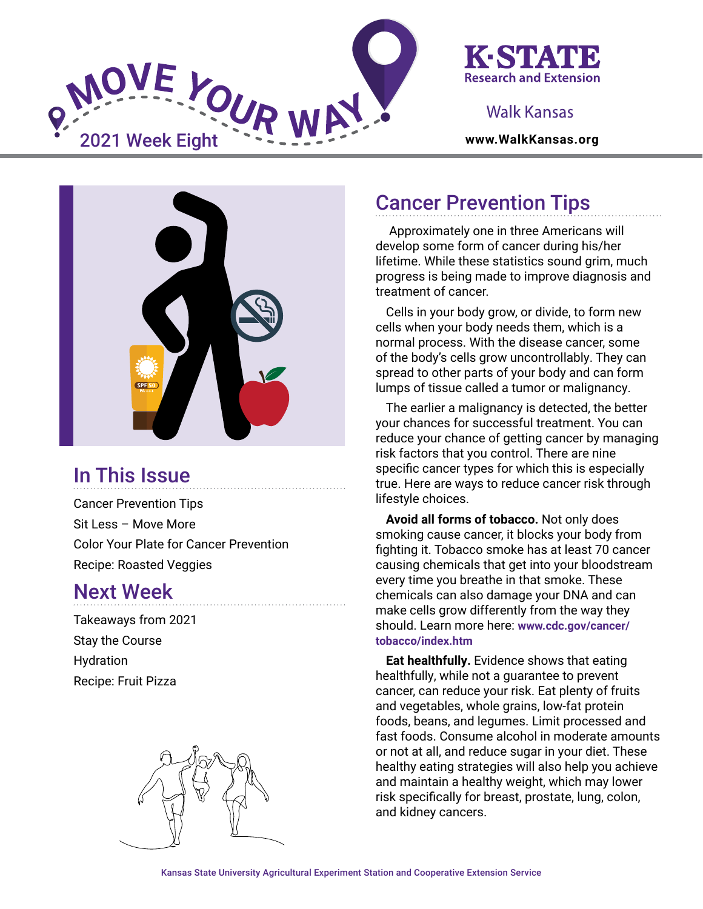

## K-STATI **Research and Extension**

### Walk Kansas



# In This Issue

Cancer Prevention Tips Sit Less – Move More Color Your Plate for Cancer Prevention Recipe: Roasted Veggies

## Next Week

Takeaways from 2021 Stay the Course Hydration Recipe: Fruit Pizza



## Cancer Prevention Tips

 Approximately one in three Americans will develop some form of cancer during his/her lifetime. While these statistics sound grim, much progress is being made to improve diagnosis and treatment of cancer.

Cells in your body grow, or divide, to form new cells when your body needs them, which is a normal process. With the disease cancer, some of the body's cells grow uncontrollably. They can spread to other parts of your body and can form lumps of tissue called a tumor or malignancy.

The earlier a malignancy is detected, the better your chances for successful treatment. You can reduce your chance of getting cancer by managing risk factors that you control. There are nine specific cancer types for which this is especially true. Here are ways to reduce cancer risk through lifestyle choices.

**Avoid all forms of tobacco.** Not only does smoking cause cancer, it blocks your body from fighting it. Tobacco smoke has at least 70 cancer causing chemicals that get into your bloodstream every time you breathe in that smoke. These chemicals can also damage your DNA and can make cells grow differently from the way they should. Learn more here: **[www.cdc.gov/cancer/](https://www.cdc.gov/cancer/tobacco/index.htm) [tobacco/index.htm](https://www.cdc.gov/cancer/tobacco/index.htm)**

**Eat healthfully.** Evidence shows that eating healthfully, while not a guarantee to prevent cancer, can reduce your risk. Eat plenty of fruits and vegetables, whole grains, low-fat protein foods, beans, and legumes. Limit processed and fast foods. Consume alcohol in moderate amounts or not at all, and reduce sugar in your diet. These healthy eating strategies will also help you achieve and maintain a healthy weight, which may lower risk specifically for breast, prostate, lung, colon, and kidney cancers.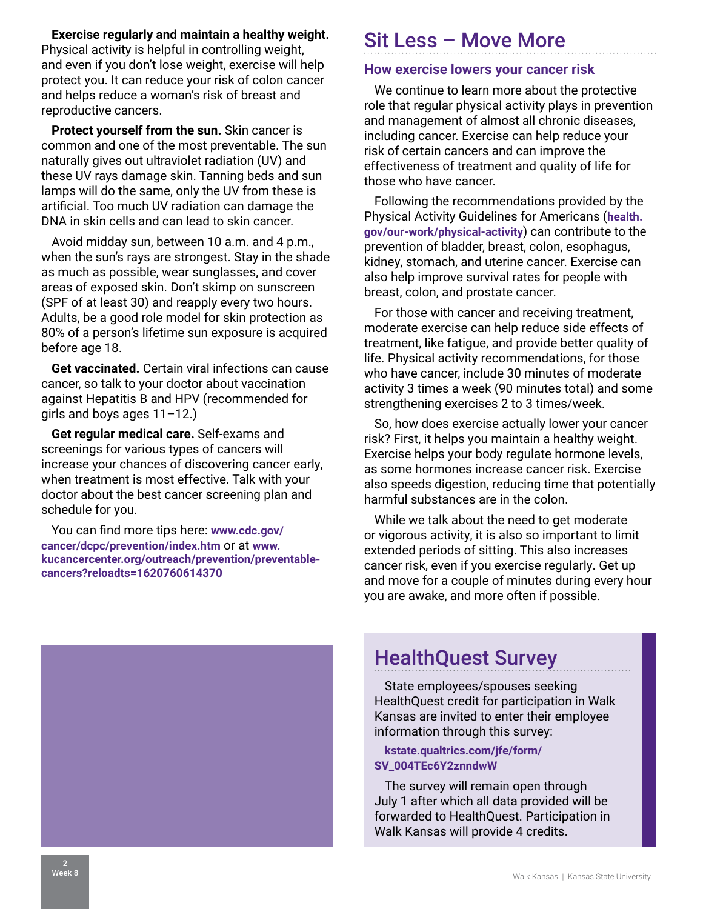**Exercise regularly and maintain a healthy weight.**

Physical activity is helpful in controlling weight, and even if you don't lose weight, exercise will help protect you. It can reduce your risk of colon cancer and helps reduce a woman's risk of breast and reproductive cancers.

**Protect yourself from the sun.** Skin cancer is common and one of the most preventable. The sun naturally gives out ultraviolet radiation (UV) and these UV rays damage skin. Tanning beds and sun lamps will do the same, only the UV from these is artificial. Too much UV radiation can damage the DNA in skin cells and can lead to skin cancer.

Avoid midday sun, between 10 a.m. and 4 p.m., when the sun's rays are strongest. Stay in the shade as much as possible, wear sunglasses, and cover areas of exposed skin. Don't skimp on sunscreen (SPF of at least 30) and reapply every two hours. Adults, be a good role model for skin protection as 80% of a person's lifetime sun exposure is acquired before age 18.

**Get vaccinated.** Certain viral infections can cause cancer, so talk to your doctor about vaccination against Hepatitis B and HPV (recommended for girls and boys ages 11–12.)

**Get regular medical care.** Self-exams and screenings for various types of cancers will increase your chances of discovering cancer early, when treatment is most effective. Talk with your doctor about the best cancer screening plan and schedule for you.

You can find more tips here: **[www.cdc.gov/](https://www.cdc.gov/cancer/dcpc/prevention/index.htm) [cancer/dcpc/prevention/index.htm](https://www.cdc.gov/cancer/dcpc/prevention/index.htm)** or at **[www.](https://www.kucancercenter.org/outreach/prevention/preventable-cancers?reloadts=1620760614370) [kucancercenter.org/outreach/prevention/preventable](https://www.kucancercenter.org/outreach/prevention/preventable-cancers?reloadts=1620760614370)[cancers?reloadts=1620760614370](https://www.kucancercenter.org/outreach/prevention/preventable-cancers?reloadts=1620760614370)**

## Sit Less – Move More

#### **How exercise lowers your cancer risk**

We continue to learn more about the protective role that regular physical activity plays in prevention and management of almost all chronic diseases, including cancer. Exercise can help reduce your risk of certain cancers and can improve the effectiveness of treatment and quality of life for those who have cancer.

Following the recommendations provided by the Physical Activity Guidelines for Americans (**[health.](https://health.gov/our-work/physical-activity) [gov/our-work/physical-activity](https://health.gov/our-work/physical-activity)**) can contribute to the prevention of bladder, breast, colon, esophagus, kidney, stomach, and uterine cancer. Exercise can also help improve survival rates for people with breast, colon, and prostate cancer.

For those with cancer and receiving treatment, moderate exercise can help reduce side effects of treatment, like fatigue, and provide better quality of life. Physical activity recommendations, for those who have cancer, include 30 minutes of moderate activity 3 times a week (90 minutes total) and some strengthening exercises 2 to 3 times/week.

So, how does exercise actually lower your cancer risk? First, it helps you maintain a healthy weight. Exercise helps your body regulate hormone levels, as some hormones increase cancer risk. Exercise also speeds digestion, reducing time that potentially harmful substances are in the colon.

While we talk about the need to get moderate or vigorous activity, it is also so important to limit extended periods of sitting. This also increases cancer risk, even if you exercise regularly. Get up and move for a couple of minutes during every hour you are awake, and more often if possible.



## HealthQuest Survey

State employees/spouses seeking HealthQuest credit for participation in Walk Kansas are invited to enter their employee information through this survey:

**[kstate.qualtrics.com/jfe/form/](https://kstate.qualtrics.com/jfe/form/SV_004TEc6Y2znndwW) [SV\\_004TEc6Y2znndwW](https://kstate.qualtrics.com/jfe/form/SV_004TEc6Y2znndwW)**

The survey will remain open through July 1 after which all data provided will be forwarded to HealthQuest. Participation in Walk Kansas will provide 4 credits.